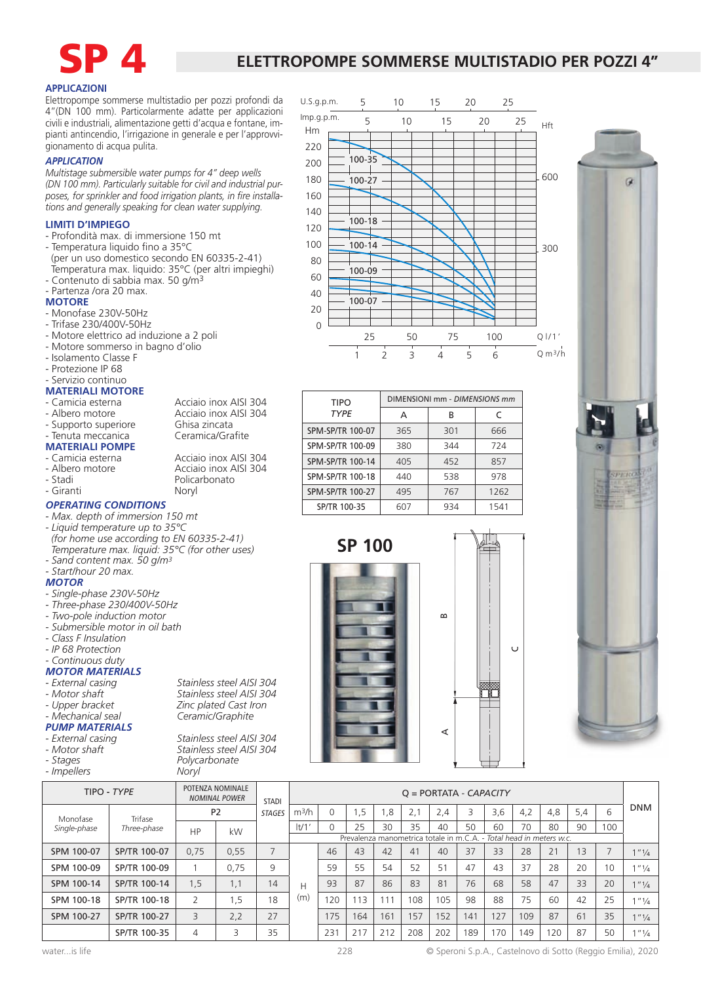

### **ELETTROPOMPE SOMMERSE MULTISTADIO PER POZZI 4"**

5 10 15 20 25

U.S.g.p.m.

Hm

### **APPLICAZIONI**

Elettropompe sommerse multistadio per pozzi profondi da 4"(DN 100 mm). Particolarmente adatte per applicazioni civili e industriali, alimentazione getti d'acqua e fontane, impianti antincendio, l'irrigazione in generale e per l'approvvigionamento di acqua pulita.

### *APPLICATION*

*Multistage submersible water pumps for 4" deep wells (DN 100 mm). Particularly suitable for civil and industrial purposes, for sprinkler and food irrigation plants, in fire installations and generally speaking for clean water supplying.*

### **LIMITI D'IMPIEGO**

- Profondità max. di immersione 150 mt
- Temperatura liquido fino a 35°C (per un uso domestico secondo EN 60335-2-41) Temperatura max. liquido: 35°C (per altri impieghi)
- Contenuto di sabbia max. 50 g/m3

### - Partenza /ora 20 max.

### **MOTORE**

- Monofase 230V-50Hz
- Trifase 230/400V-50Hz
- Motore elettrico ad induzione a 2 poli
- Motore sommerso in bagno d'olio
- Isolamento Classe F
- Protezione IP 68

### - Servizio continuo

## **MATERIALI MOTORE**<br>- Camicia esterna

- 
- Albero motore *Acciaio inox AISI 304*<br>- Supporto superiore Ghisa zincata
- Supporto superiore Ghisa zincata
- Tenuta meccanica
- **MATERIALI POMPE**
- Camicia esterna *Acciaio inox AISI 304*<br>- Albero motore *Acciaio inox AISI 304*
- Albero motore **Acciaio inox AISI 304**<br>- Stadi **Marchando**
- 
- Giranti

### *OPERATING CONDITIONS*

- *Max. depth of immersion 150 mt*
- *Liquid temperature up to 35°C (for home use according to EN 60335-2-41) Temperature max. liquid: 35°C (for other uses)*
- *Sand content max. 50 g/m3*

### *- Start/hour 20 max.*

- *MOTOR*
- *Single-phase 230V-50Hz*
- *Three-phase 230/400V-50Hz*
- *Two-pole induction motor*
- *Submersible motor in oil bath*
- *Class F Insulation*
- *IP 68 Protection*
- *Continuous duty*

# *MOTOR MATERIALS*

- 
- 
- 
- *PUMP MATERIALS*
- 
- *External casing Stainless steel AISI 304*
- 
- *Stages Polycarbonate* - *Impellers*

*- External casing Stainless steel AISI 304 - Motor shaft Stainless steel AISI 304 - Upper bracket Zinc plated Cast Iron - Mechanical seal Ceramic/Graphite*

*- Motor shaft Stainless steel AISI 304*

**SP 100**



| <b>TIPO</b>             | DIMENSIONI mm - DIMENSIONS mm |     |      |  |  |  |  |  |
|-------------------------|-------------------------------|-----|------|--|--|--|--|--|
| <b>TYPE</b>             | А                             | В   | C    |  |  |  |  |  |
| SPM-SP/TR 100-07        | 365                           | 301 | 666  |  |  |  |  |  |
| SPM-SP/TR 100-09        | 380                           | 344 | 724  |  |  |  |  |  |
| SPM-SP/TR 100-14        | 405                           | 452 | 857  |  |  |  |  |  |
| SPM-SP/TR 100-18        | 440                           | 538 | 978  |  |  |  |  |  |
| <b>SPM-SP/TR 100-27</b> | 495                           | 767 | 1262 |  |  |  |  |  |
| SP/TR 100-35            | 607                           | 934 | 1541 |  |  |  |  |  |





| TIPO - TYPE  |              |                | POTENZA NOMINALE<br><b>NOMINAL POWER</b> | <b>STADI</b>  | $Q = PORTATA - CAPACITY$                                            |     |     |     |     |     |     |     |     |     |     |                          |                                    |
|--------------|--------------|----------------|------------------------------------------|---------------|---------------------------------------------------------------------|-----|-----|-----|-----|-----|-----|-----|-----|-----|-----|--------------------------|------------------------------------|
| Monofase     | Trifase      |                | P <sub>2</sub>                           | <b>STAGES</b> |                                                                     |     | .5  | .8  | z.l | 2,4 |     | 3,6 | 4,2 | 4,8 | 5,4 | 6                        | <b>DNM</b>                         |
| Single-phase | Three-phase  | HP             | kW                                       |               | $ t/1$ '                                                            |     | 25  | 30  | 35  | 40  | 50  | 60  | 70  | 80  | 90  | 100                      |                                    |
|              |              |                |                                          |               | Prevalenza manometrica totale in m.C.A. - Total head in meters w.c. |     |     |     |     |     |     |     |     |     |     |                          |                                    |
| SPM 100-07   | SP/TR 100-07 | 0,75           | 0,55                                     |               |                                                                     | 46  | 43  | 42  | 41  | 40  | 37  | 33  | 28  | 21  | 13  | $\overline{\phantom{a}}$ | $1'''$ <sup>1</sup> / <sub>4</sub> |
| SPM 100-09   | SP/TR 100-09 |                | 0.75                                     | 9             |                                                                     | 59  | 55  | 54  | 52  | 51  | 47  | 43  | 37  | 28  | 20  | 10                       | 1''1/4                             |
| SPM 100-14   | SP/TR 100-14 | 1,5            | 1.1                                      | 14            | Н                                                                   | 93  | 87  | 86  | 83  | 81  | 76  | 68  | 58  | 47  | 33  | 20                       | 1''''/4                            |
| SPM 100-18   | SP/TR 100-18 | 2              | 5. ا                                     | 18            | (m)                                                                 | 120 | 13  |     | 108 | 105 | 98  | 88  | 75  | 60  | 42  | 25                       | 1''1/4                             |
| SPM 100-27   | SP/TR 100-27 | 3              | 2,2                                      | 27            |                                                                     | 175 | 164 | 161 | 57  | 152 | 141 | 27  | 109 | 87  | 61  | 35                       | 1''' / 4                           |
|              | SP/TR 100-35 | $\overline{4}$ |                                          | 35            |                                                                     | 231 | 217 | 212 | 208 | 202 | 189 | 70  | 149 | 20  | 87  | 50                       | 1/4                                |

Acciaio inox AISI 304

Policarbonato<br>Noryl